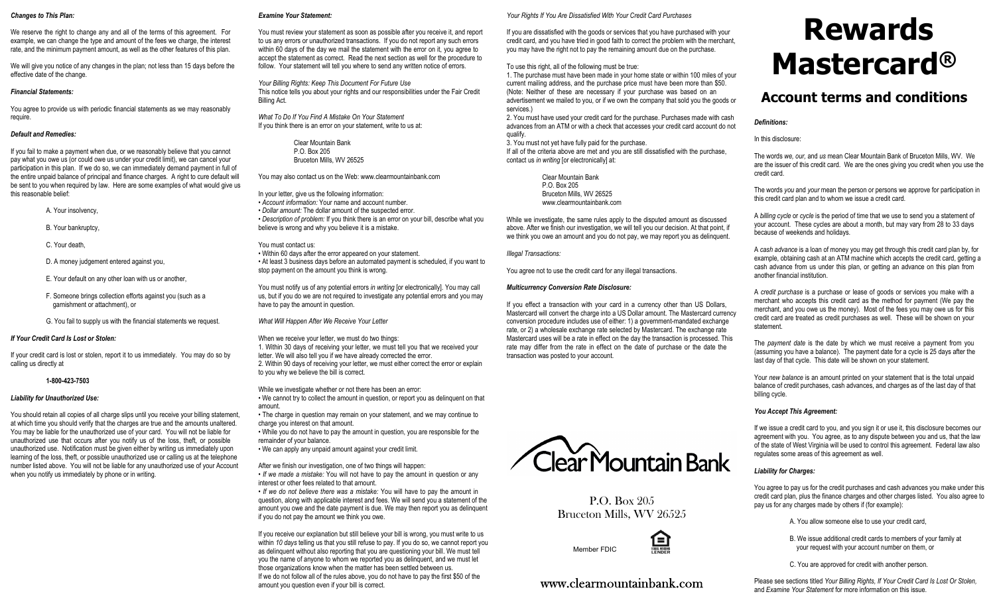#### *Changes to This Plan:*

We reserve the right to change any and all of the terms of this agreement. For example, we can change the type and amount of the fees we charge, the interest rate, and the minimum payment amount, as well as the other features of this plan.

We will give you notice of any changes in the plan; not less than 15 days before the effective date of the change.

#### *Financial Statements:*

You agree to provide us with periodic financial statements as we may reasonably require.

# *Default and Remedies:*

If you fail to make a payment when due, or we reasonably believe that you cannot pay what you owe us (or could owe us under your credit limit), we can cancel your participation in this plan. If we do so, we can immediately demand payment in full of the entire unpaid balance of principal and finance charges. A right to cure default will be sent to you when required by law. Here are some examples of what would give us this reasonable belief:

- A. Your insolvency,
- B. Your bankruptcy,
- C. Your death
- D. A money judgement entered against you,
- E. Your default on any other loan with us or another,
- F. Someone brings collection efforts against you (such as a garnishment or attachment), or
- G. You fail to supply us with the financial statements we request.

# *If Your Credit Card Is Lost or Stolen:*

If your credit card is lost or stolen, report it to us immediately. You may do so by calling us directly at

**1-800-423-7503**

# *Liability for Unauthorized Use:*

You should retain all copies of all charge slips until you receive your billing statement, at which time you should verify that the charges are true and the amounts unaltered. You may be liable for the unauthorized use of your card. You will not be liable for unauthorized use that occurs after you notify us of the loss, theft, or possible unauthorized use. Notification must be given either by writing us immediately upon learning of the loss, theft, or possible unauthorized use or calling us at the telephone number listed above. You will not be liable for any unauthorized use of your Account when you notify us immediately by phone or in writing.

#### *Examine Your Statement:*

You must review your statement as soon as possible after you receive it, and report to us any errors or unauthorized transactions. If you do not report any such errors within 60 days of the day we mail the statement with the error on it, you agree to accept the statement as correct. Read the next section as well for the procedure to follow. Your statement will tell you where to send any written notice of errors.

*Your Billing Rights: Keep This Document For Future Use* This notice tells you about your rights and our responsibilities under the Fair Credit Billing Act.

*What To Do If You Find A Mistake On Your Statement* If you think there is an error on your statement, write to us at:

> Clear Mountain Bank P.O. Box 205 Bruceton Mills, WV 26525

You may also contact us on the Web: www.clearmountainbank.com

In your letter, give us the following information: • *Account information:* Your name and account number. • *Dollar amount:* The dollar amount of the suspected error. • *Description of problem:* If you think there is an error on your bill, describe what you believe is wrong and why you believe it is a mistake.

You must contact us: • Within 60 days after the error appeared on your statement. • At least 3 business days before an automated payment is scheduled, if you want to stop payment on the amount you think is wrong.

You must notify us of any potential errors *in writing* [or electronically]. You may call us, but if you do we are not required to investigate any potential errors and you may have to pay the amount in question.

*What Will Happen After We Receive Your Letter*

When we receive your letter, we must do two things: 1. Within 30 days of receiving your letter, we must tell you that we received your letter. We will also tell you if we have already corrected the error. 2. Within 90 days of receiving your letter, we must either correct the error or explain to you why we believe the bill is correct.

While we investigate whether or not there has been an error: • We cannot try to collect the amount in question, or report you as delinquent on that amount.

• The charge in question may remain on your statement, and we may continue to charge you interest on that amount.

• While you do not have to pay the amount in question, you are responsible for the remainder of your balance.

• We can apply any unpaid amount against your credit limit.

After we finish our investigation, one of two things will happen: • *If we made a mistake:* You will not have to pay the amount in question or any interest or other fees related to that amount.

• *If we do not believe there was a mistake:* You will have to pay the amount in question, along with applicable interest and fees. We will send you a statement of the amount you owe and the date payment is due. We may then report you as delinquent if you do not pay the amount we think you owe.

If you receive our explanation but still believe your bill is wrong, you must write to us within *10 days* telling us that you still refuse to pay. If you do so, we cannot report you as delinquent without also reporting that you are questioning your bill. We must tell you the name of anyone to whom we reported you as delinquent, and we must let those organizations know when the matter has been settled between us. If we do not follow all of the rules above, you do not have to pay the first \$50 of the amount you question even if your bill is correct.

# *Your Rights If You Are Dissatisfied With Your Credit Card Purchases*

If you are dissatisfied with the goods or services that you have purchased with your credit card, and you have tried in good faith to correct the problem with the merchant, you may have the right not to pay the remaining amount due on the purchase.

To use this right, all of the following must be true:

1. The purchase must have been made in your home state or within 100 miles of your current mailing address, and the purchase price must have been more than \$50. (Note: Neither of these are necessary if your purchase was based on an advertisement we mailed to you, or if we own the company that sold you the goods or services.)

2. You must have used your credit card for the purchase. Purchases made with cash advances from an ATM or with a check that accesses your credit card account do not qualify.

3. You must not yet have fully paid for the purchase. If all of the criteria above are met and you are still dissatisfied with the purchase, contact us *in writing* [or electronically] at:

> Clear Mountain Bank P.O. Box 205 Bruceton Mills, WV 26525 www.clearmountainbank.com

While we investigate, the same rules apply to the disputed amount as discussed above. After we finish our investigation, we will tell you our decision. At that point, if we think you owe an amount and you do not pay, we may report you as delinquent.

*Illegal Transactions:*

You agree not to use the credit card for any illegal transactions.

# *Multicurrency Conversion Rate Disclosure:*

If you effect a transaction with your card in a currency other than US Dollars, Mastercard will convert the charge into a US Dollar amount. The Mastercard currency conversion procedure includes use of either: 1) a government-mandated exchange rate, or 2) a wholesale exchange rate selected by Mastercard. The exchange rate Mastercard uses will be a rate in effect on the day the transaction is processed. This rate may differ from the rate in effect on the date of purchase or the date the transaction was posted to your account.

# **Rewards Mastercard®**

# **Account terms and conditions**

# *Definitions:*

In this disclosure:

The words *we, our,* and *us* mean Clear Mountain Bank of Bruceton Mills, WV. We are the issuer of this credit card. We are the ones giving you credit when you use the credit card.

The words *you* and *your* mean the person or persons we approve for participation in this credit card plan and to whom we issue a credit card.

A *billing cycle* or *cycle* is the period of time that we use to send you a statement of your account. These cycles are about a month, but may vary from 28 to 33 days because of weekends and holidays.

A *cash advance* is a loan of money you may get through this credit card plan by, for example, obtaining cash at an ATM machine which accepts the credit card, getting a cash advance from us under this plan, or getting an advance on this plan from another financial institution.

A *credit purchase* is a purchase or lease of goods or services you make with a merchant who accepts this credit card as the method for payment (We pay the merchant, and you owe us the money). Most of the fees you may owe us for this credit card are treated as credit purchases as well. These will be shown on your statement.

The *payment date* is the date by which we must receive a payment from you (assuming you have a balance). The payment date for a cycle is 25 days after the last day of that cycle. This date will be shown on your statement.

Your *new balance* is an amount printed on your statement that is the total unpaid balance of credit purchases, cash advances, and charges as of the last day of that billing cycle.

# *You Accept This Agreement:*

If we issue a credit card to you, and you sign it or use it, this disclosure becomes our agreement with you. You agree, as to any dispute between you and us, that the law of the state of West Virginia will be used to control this agreement. Federal law also regulates some areas of this agreement as well.

# *Liability for Charges:*

You agree to pay us for the credit purchases and cash advances you make under this credit card plan, plus the finance charges and other charges listed. You also agree to pay us for any charges made by others if (for example):

A. You allow someone else to use your credit card,

- B. We issue additional credit cards to members of your family at your request with your account number on them, or
- C. You are approved for credit with another person.

Please see sections titled *Your Billing Rights, If Your Credit Card Is Lost Or Stolen,* and *Examine Your Statement* for more information on this issue.



P.O. Box 205 Bruceton Mills, WV 26525

 $\bigoplus_{k\in\mathbb{N}}$ 

www.clearmountainbank.com



Member FDIC